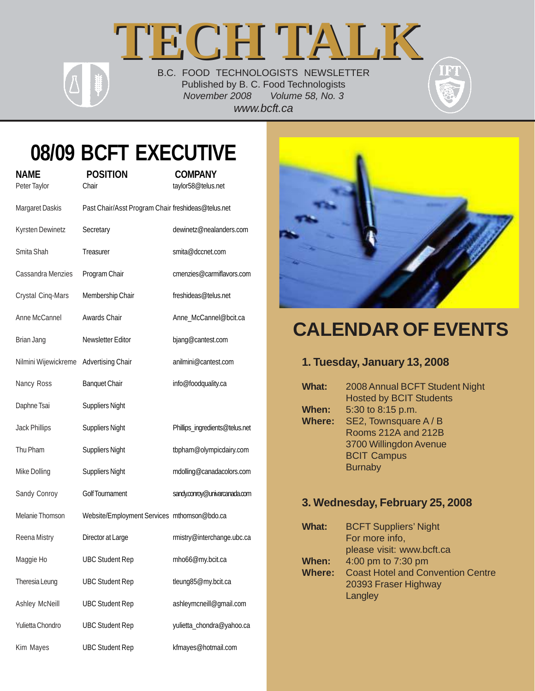B.C. FOOD TECHNOLOGISTS NEWSLETTER Published by B. C. Food Technologists *November 2008 Volume 58, No. 3 www.bcft.ca*

**TECH TALK TECH TALK**

# **08/09 BCFT EXECUTIVE**

| <b>NAME</b><br>Peter Taylor | <b>POSITION</b><br>Chair                           | <b>COMPANY</b><br>taylor58@telus.net |
|-----------------------------|----------------------------------------------------|--------------------------------------|
| Margaret Daskis             | Past Chair/Asst Program Chair freshideas@telus.net |                                      |
| Kyrsten Dewinetz            | Secretary                                          | dewinetz@nealanders.com              |
| Smita Shah                  | Treasurer                                          | smita@dccnet.com                     |
| Cassandra Menzies           | Program Chair                                      | cmenzies@carmiflavors.com            |
| Crystal Cinq-Mars           | Membership Chair                                   | freshideas@telus.net                 |
| Anne McCannel               | Awards Chair                                       | Anne_McCannel@bcit.ca                |
| Brian Jang                  | Newsletter Editor                                  | bjang@cantest.com                    |
| Nilmini Wijewickreme        | <b>Advertising Chair</b>                           | anilmini@cantest.com                 |
| Nancy Ross                  | <b>Banquet Chair</b>                               | info@foodquality.ca                  |
| Daphne Tsai                 | <b>Suppliers Night</b>                             |                                      |
| <b>Jack Phillips</b>        | <b>Suppliers Night</b>                             | Phillips_ingredients@telus.net       |
| Thu Pham                    | <b>Suppliers Night</b>                             | tbpham@olympicdairy.com              |
| Mike Dolling                | <b>Suppliers Night</b>                             | mdolling@canadacolors.com            |
| Sandy Conroy                | <b>Golf Tournament</b>                             | sandy.conroy@univarcanada.com        |
| Melanie Thomson             | Website/Employment Services mthomson@bdo.ca        |                                      |
| Reena Mistry                | Director at Large                                  | rmistry@interchange.ubc.ca           |
| Maggie Ho                   | <b>UBC Student Rep</b>                             | mho66@my.bcit.ca                     |
| Theresia Leung              | <b>UBC Student Rep</b>                             | tleung85@my.bcit.ca                  |
| Ashley McNeill              | <b>UBC Student Rep</b>                             | ashleymcneill@gmail.com              |
| Yulietta Chondro            | <b>UBC Student Rep</b>                             | yulietta_chondra@yahoo.ca            |
| Kim Mayes                   | <b>UBC Student Rep</b>                             | kfmayes@hotmail.com                  |



## **CALENDAR OF EVENTS**

#### **1. Tuesday, January 13, 2008**

| <b>What:</b> | 2008 Annual BCFT Student Night |
|--------------|--------------------------------|
|              | <b>Hosted by BCIT Students</b> |
| When:        | 5:30 to 8:15 p.m.              |
| Where:       | SE2, Townsquare A/B            |
|              | Rooms 212A and 212B            |
|              | 3700 Willingdon Avenue         |
|              | <b>BCIT Campus</b>             |
|              | <b>Burnaby</b>                 |

#### **3. Wednesday, February 25, 2008**

| <b>What:</b>  | <b>BCFT Suppliers' Night</b>             |
|---------------|------------------------------------------|
|               | For more info,                           |
|               | please visit: www.bcft.ca                |
| When:         | 4:00 pm to 7:30 pm                       |
| <b>Where:</b> | <b>Coast Hotel and Convention Centre</b> |
|               | 20393 Fraser Highway                     |
|               | Langley                                  |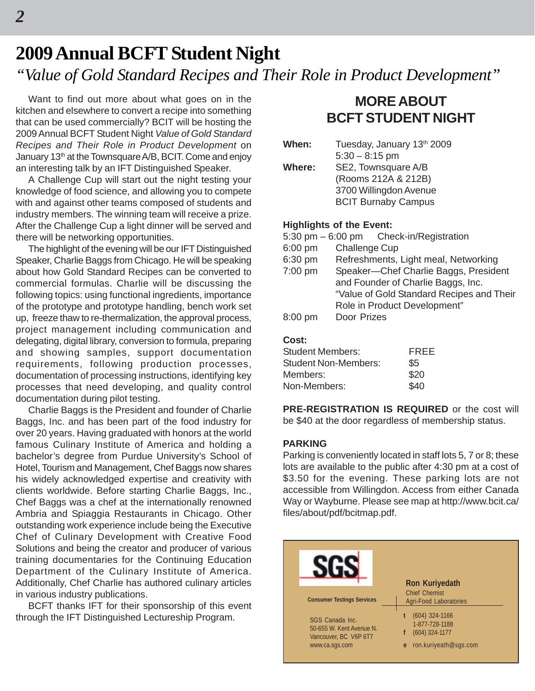## **2009 Annual BCFT Student Night**

*"Value of Gold Standard Recipes and Their Role in Product Development"*

Want to find out more about what goes on in the kitchen and elsewhere to convert a recipe into something that can be used commercially? BCIT will be hosting the 2009 Annual BCFT Student Night *Value of Gold Standard Recipes and Their Role in Product Development* on January 13<sup>th</sup> at the Townsquare A/B, BCIT. Come and enjoy an interesting talk by an IFT Distinguished Speaker.

A Challenge Cup will start out the night testing your knowledge of food science, and allowing you to compete with and against other teams composed of students and industry members. The winning team will receive a prize. After the Challenge Cup a light dinner will be served and there will be networking opportunities.

The highlight of the evening will be our IFT Distinguished Speaker, Charlie Baggs from Chicago. He will be speaking about how Gold Standard Recipes can be converted to commercial formulas. Charlie will be discussing the following topics: using functional ingredients, importance of the prototype and prototype handling, bench work set up, freeze thaw to re-thermalization, the approval process, project management including communication and delegating, digital library, conversion to formula, preparing and showing samples, support documentation requirements, following production processes, documentation of processing instructions, identifying key processes that need developing, and quality control documentation during pilot testing.

Charlie Baggs is the President and founder of Charlie Baggs, Inc. and has been part of the food industry for over 20 years. Having graduated with honors at the world famous Culinary Institute of America and holding a bachelor's degree from Purdue University's School of Hotel, Tourism and Management, Chef Baggs now shares his widely acknowledged expertise and creativity with clients worldwide. Before starting Charlie Baggs, Inc., Chef Baggs was a chef at the internationally renowned Ambria and Spiaggia Restaurants in Chicago. Other outstanding work experience include being the Executive Chef of Culinary Development with Creative Food Solutions and being the creator and producer of various training documentaries for the Continuing Education Department of the Culinary Institute of America. Additionally, Chef Charlie has authored culinary articles in various industry publications.

BCFT thanks IFT for their sponsorship of this event through the IFT Distinguished Lectureship Program.

## **MORE ABOUT BCFT STUDENT NIGHT**

| When:         | Tuesday, January 13th 2009 |
|---------------|----------------------------|
|               | $5:30 - 8:15$ pm           |
| <b>Where:</b> | SE2, Townsquare A/B        |
|               | (Rooms 212A & 212B)        |
|               | 3700 Willingdon Avenue     |
|               | <b>BCIT Burnaby Campus</b> |
|               |                            |

#### **Highlights of the Event:**

|           | 5:30 pm - 6:00 pm Check-in/Registration   |
|-----------|-------------------------------------------|
| $6:00$ pm | <b>Challenge Cup</b>                      |
| 6:30 pm   | Refreshments, Light meal, Networking      |
| 7:00 pm   | Speaker-Chef Charlie Baggs, President     |
|           | and Founder of Charlie Baggs, Inc.        |
|           | "Value of Gold Standard Recipes and Their |
|           | Role in Product Development"              |
| 8:00 pm   | Door Prizes                               |
|           |                                           |

#### **Cost:**

| Student Members:            | <b>FREE</b> |
|-----------------------------|-------------|
| <b>Student Non-Members:</b> | \$5         |
| Members:                    | \$20        |
| Non-Members:                | \$40        |

**PRE-REGISTRATION IS REQUIRED** or the cost will be \$40 at the door regardless of membership status.

#### **PARKING**

Parking is conveniently located in staff lots 5, 7 or 8; these lots are available to the public after 4:30 pm at a cost of \$3.50 for the evening. These parking lots are not accessible from Willingdon. Access from either Canada Way or Wayburne. Please see map at http://www.bcit.ca/ files/about/pdf/bcitmap.pdf.

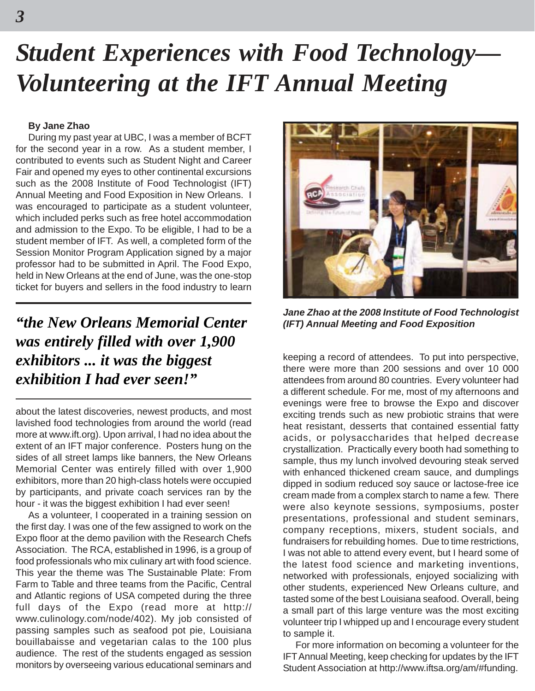# *Student Experiences with Food Technology— Volunteering at the IFT Annual Meeting*

#### **By Jane Zhao**

During my past year at UBC, I was a member of BCFT for the second year in a row. As a student member, I contributed to events such as Student Night and Career Fair and opened my eyes to other continental excursions such as the 2008 Institute of Food Technologist (IFT) Annual Meeting and Food Exposition in New Orleans. I was encouraged to participate as a student volunteer, which included perks such as free hotel accommodation and admission to the Expo. To be eligible, I had to be a student member of IFT. As well, a completed form of the Session Monitor Program Application signed by a major professor had to be submitted in April. The Food Expo, held in New Orleans at the end of June, was the one-stop ticket for buyers and sellers in the food industry to learn

## *"the New Orleans Memorial Center was entirely filled with over 1,900 exhibitors ... it was the biggest exhibition I had ever seen!"*

about the latest discoveries, newest products, and most lavished food technologies from around the world (read more at www.ift.org). Upon arrival, I had no idea about the extent of an IFT major conference. Posters hung on the sides of all street lamps like banners, the New Orleans Memorial Center was entirely filled with over 1,900 exhibitors, more than 20 high-class hotels were occupied by participants, and private coach services ran by the hour - it was the biggest exhibition I had ever seen!

As a volunteer, I cooperated in a training session on the first day. I was one of the few assigned to work on the Expo floor at the demo pavilion with the Research Chefs Association. The RCA, established in 1996, is a group of food professionals who mix culinary art with food science. This year the theme was The Sustainable Plate: From Farm to Table and three teams from the Pacific, Central and Atlantic regions of USA competed during the three full days of the Expo (read more at http:// www.culinology.com/node/402). My job consisted of passing samples such as seafood pot pie, Louisiana bouillabaisse and vegetarian calas to the 100 plus audience. The rest of the students engaged as session monitors by overseeing various educational seminars and



*Jane Zhao at the 2008 Institute of Food Technologist (IFT) Annual Meeting and Food Exposition*

keeping a record of attendees. To put into perspective, there were more than 200 sessions and over 10 000 attendees from around 80 countries. Every volunteer had a different schedule. For me, most of my afternoons and evenings were free to browse the Expo and discover exciting trends such as new probiotic strains that were heat resistant, desserts that contained essential fatty acids, or polysaccharides that helped decrease crystallization. Practically every booth had something to sample, thus my lunch involved devouring steak served with enhanced thickened cream sauce, and dumplings dipped in sodium reduced soy sauce or lactose-free ice cream made from a complex starch to name a few. There were also keynote sessions, symposiums, poster presentations, professional and student seminars, company receptions, mixers, student socials, and fundraisers for rebuilding homes. Due to time restrictions, I was not able to attend every event, but I heard some of the latest food science and marketing inventions, networked with professionals, enjoyed socializing with other students, experienced New Orleans culture, and tasted some of the best Louisiana seafood. Overall, being a small part of this large venture was the most exciting volunteer trip I whipped up and I encourage every student to sample it.

For more information on becoming a volunteer for the IFT Annual Meeting, keep checking for updates by the IFT Student Association at http://www.iftsa.org/am/#funding.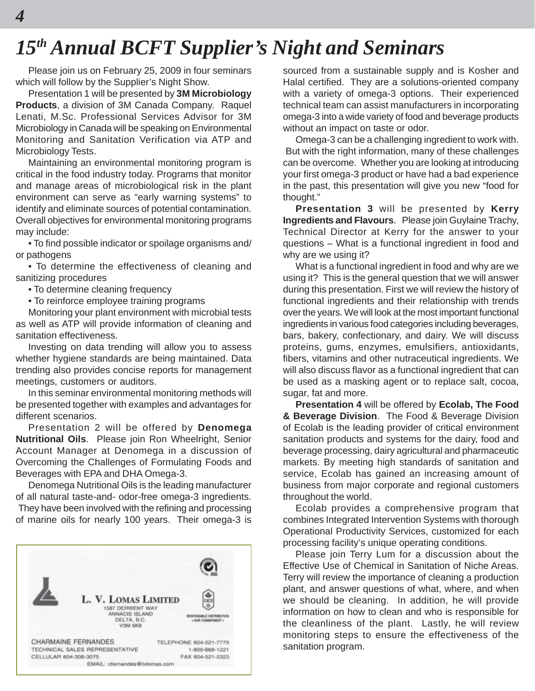## *15th Annual BCFT Supplier's Night and Seminars*

Please join us on February 25, 2009 in four seminars which will follow by the Supplier's Night Show.

Presentation 1 will be presented by **3M Microbiology Products**, a division of 3M Canada Company. Raquel Lenati, M.Sc. Professional Services Advisor for 3M Microbiology in Canada will be speaking on Environmental Monitoring and Sanitation Verification via ATP and Microbiology Tests.

Maintaining an environmental monitoring program is critical in the food industry today. Programs that monitor and manage areas of microbiological risk in the plant environment can serve as "early warning systems" to identify and eliminate sources of potential contamination. Overall objectives for environmental monitoring programs may include:

• To find possible indicator or spoilage organisms and/ or pathogens

• To determine the effectiveness of cleaning and sanitizing procedures

- To determine cleaning frequency
- To reinforce employee training programs

Monitoring your plant environment with microbial tests as well as ATP will provide information of cleaning and sanitation effectiveness.

Investing on data trending will allow you to assess whether hygiene standards are being maintained. Data trending also provides concise reports for management meetings, customers or auditors.

In this seminar environmental monitoring methods will be presented together with examples and advantages for different scenarios.

Presentation 2 will be offered by **Denomega Nutritional Oils**. Please join Ron Wheelright, Senior Account Manager at Denomega in a discussion of Overcoming the Challenges of Formulating Foods and Beverages with EPA and DHA Omega-3.

Denomega Nutritional Oils is the leading manufacturer of all natural taste-and- odor-free omega-3 ingredients. They have been involved with the refining and processing of marine oils for nearly 100 years. Their omega-3 is



sourced from a sustainable supply and is Kosher and Halal certified. They are a solutions-oriented company with a variety of omega-3 options. Their experienced technical team can assist manufacturers in incorporating omega-3 into a wide variety of food and beverage products without an impact on taste or odor.

Omega-3 can be a challenging ingredient to work with. But with the right information, many of these challenges can be overcome. Whether you are looking at introducing your first omega-3 product or have had a bad experience in the past, this presentation will give you new "food for thought."

**Presentation 3** will be presented by **Kerry Ingredients and Flavours**. Please join Guylaine Trachy, Technical Director at Kerry for the answer to your questions – What is a functional ingredient in food and why are we using it?

What is a functional ingredient in food and why are we using it? This is the general question that we will answer during this presentation. First we will review the history of functional ingredients and their relationship with trends over the years. We will look at the most important functional ingredients in various food categories including beverages, bars, bakery, confectionary, and dairy. We will discuss proteins, gums, enzymes, emulsifiers, antioxidants, fibers, vitamins and other nutraceutical ingredients. We will also discuss flavor as a functional ingredient that can be used as a masking agent or to replace salt, cocoa, sugar, fat and more.

**Presentation 4** will be offered by **Ecolab, The Food & Beverage Division**. The Food & Beverage Division of Ecolab is the leading provider of critical environment sanitation products and systems for the dairy, food and beverage processing, dairy agricultural and pharmaceutic markets. By meeting high standards of sanitation and service, Ecolab has gained an increasing amount of business from major corporate and regional customers throughout the world.

Ecolab provides a comprehensive program that combines Integrated Intervention Systems with thorough Operational Productivity Services, customized for each processing facility's unique operating conditions.

Please join Terry Lum for a discussion about the Effective Use of Chemical in Sanitation of Niche Areas. Terry will review the importance of cleaning a production plant, and answer questions of what, where, and when we should be cleaning. In addition, he will provide information on how to clean and who is responsible for the cleanliness of the plant. Lastly, he will review monitoring steps to ensure the effectiveness of the sanitation program.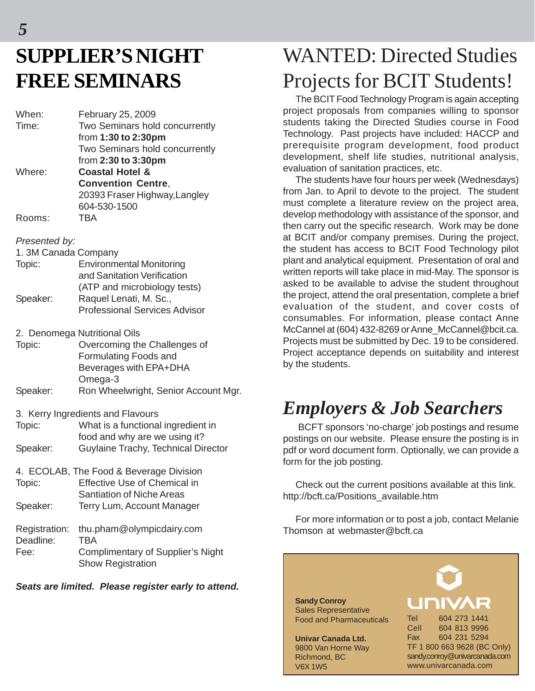# **SUPPLIER'S NIGHT FREE SEMINARS**

| When:  | February 25, 2009              |
|--------|--------------------------------|
| Time:  | Two Seminars hold concurrently |
|        | from 1:30 to 2:30pm            |
|        | Two Seminars hold concurrently |
|        | from 2:30 to 3:30pm            |
| Where: | <b>Coastal Hotel &amp;</b>     |
|        | <b>Convention Centre,</b>      |
|        | 20393 Fraser Highway, Langley  |
|        | 604-530-1500                   |
| Rooms: | TBA                            |
|        |                                |

*Presented by:*

| 1. 3M Canada Company |                                      |
|----------------------|--------------------------------------|
| Topic:               | <b>Environmental Monitoring</b>      |
|                      | and Sanitation Verification          |
|                      | (ATP and microbiology tests)         |
| Speaker:             | Raquel Lenati, M. Sc.,               |
|                      | <b>Professional Services Advisor</b> |

- 2. Denomega Nutritional Oils
- Topic: Overcoming the Challenges of Formulating Foods and Beverages with EPA+DHA Omega-3 Speaker: Ron Wheelwright, Senior Account Mgr.

3. Kerry Ingredients and Flavours

- Topic: What is a functional ingredient in food and why are we using it? Speaker: Guylaine Trachy, Technical Director
- 4. ECOLAB, The Food & Beverage Division Topic: Effective Use of Chemical in Santiation of Niche Areas Speaker: Terry Lum, Account Manager
- Registration: thu.pham@olympicdairy.com Deadline: TBA Fee: Complimentary of Supplier's Night Show Registration

*Seats are limited. Please register early to attend.*

## WANTED: Directed Studies Projects for BCIT Students!

The BCIT Food Technology Program is again accepting project proposals from companies willing to sponsor students taking the Directed Studies course in Food Technology. Past projects have included: HACCP and prerequisite program development, food product development, shelf life studies, nutritional analysis, evaluation of sanitation practices, etc.

The students have four hours per week (Wednesdays) from Jan. to April to devote to the project. The student must complete a literature review on the project area, develop methodology with assistance of the sponsor, and then carry out the specific research. Work may be done at BCIT and/or company premises. During the project, the student has access to BCIT Food Technology pilot plant and analytical equipment. Presentation of oral and written reports will take place in mid-May. The sponsor is asked to be available to advise the student throughout the project, attend the oral presentation, complete a brief evaluation of the student, and cover costs of consumables. For information, please contact Anne McCannel at (604) 432-8269 or Anne\_McCannel@bcit.ca. Projects must be submitted by Dec. 19 to be considered. Project acceptance depends on suitability and interest by the students.

## *Employers & Job Searchers*

 BCFT sponsors 'no-charge' job postings and resume postings on our website. Please ensure the posting is in pdf or word document form. Optionally, we can provide a form for the job posting.

Check out the current positions available at this link. http://bcft.ca/Positions\_available.htm

For more information or to post a job, contact Melanie Thomson at webmaster@bcft.ca

**Sandy Conroy** Sales Representative Food and Pharmaceuticals

**Univar Canada Ltd.** 9800 Van Horne Way Richmond, BC V6X 1W5

UF Tel 604 273 1441 Cell 604 813 9996 Fax 604 231 5294 TF 1 800 663 9628 (BC Only) sandy.conroy@univarcanada.com www.univarcanada.com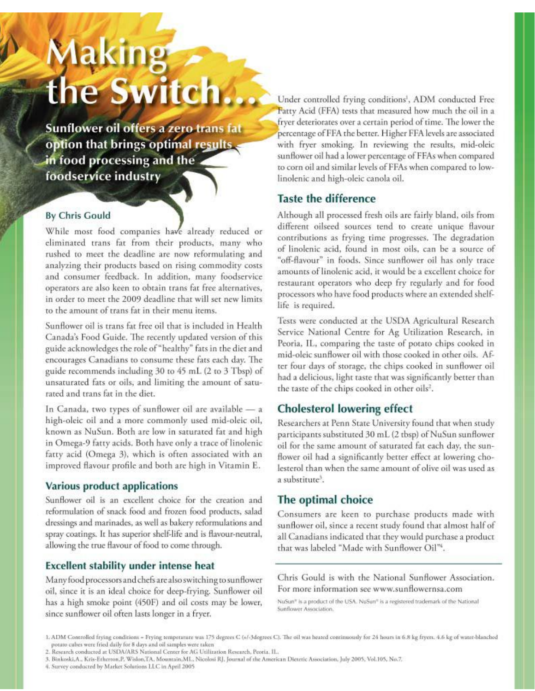# **SWI**

Sunflower oil offers a zero trans fat option that brings optimal results in food processing and the foodservice industry

#### **By Chris Gould**

While most food companies have already reduced or eliminated trans fat from their products, many who rushed to meet the deadline are now reformulating and analyzing their products based on rising commodity costs and consumer feedback. In addition, many foodservice operators are also keen to obtain trans fat free alternatives, in order to meet the 2009 deadline that will set new limits to the amount of trans fat in their menu items.

Sunflower oil is trans fat free oil that is included in Health Canada's Food Guide. The recently updated version of this guide acknowledges the role of "healthy" fats in the diet and encourages Canadians to consume these fats each day. The guide recommends including 30 to 45 mL (2 to 3 Tbsp) of unsaturated fats or oils, and limiting the amount of saturated and trans fat in the diet.

In Canada, two types of sunflower oil are available - a high-oleic oil and a more commonly used mid-oleic oil, known as NuSun. Both are low in saturated fat and high in Omega-9 fatty acids. Both have only a trace of linolenic fatty acid (Omega 3), which is often associated with an improved flavour profile and both are high in Vitamin E.

#### **Various product applications**

Sunflower oil is an excellent choice for the creation and reformulation of snack food and frozen food products, salad dressings and marinades, as well as bakery reformulations and spray coatings. It has superior shelf-life and is flavour-neutral, allowing the true flavour of food to come through.

#### **Excellent stability under intense heat**

Many food processors and chefs are also switching to sunflower oil, since it is an ideal choice for deep-frying. Sunflower oil has a high smoke point (450F) and oil costs may be lower, since sunflower oil often lasts longer in a fryer.

Under controlled frying conditions<sup>1</sup>, ADM conducted Free Fatty Acid (FFA) tests that measured how much the oil in a fryer deteriorates over a certain period of time. The lower the percentage of FFA the better. Higher FFA levels are associated with fryer smoking. In reviewing the results, mid-oleic sunflower oil had a lower percentage of FFAs when compared to corn oil and similar levels of FFAs when compared to lowlinolenic and high-oleic canola oil.

#### **Taste the difference**

Although all processed fresh oils are fairly bland, oils from different oilseed sources tend to create unique flavour contributions as frying time progresses. The degradation of linolenic acid, found in most oils, can be a source of "off-flavour" in foods. Since sunflower oil has only trace amounts of linolenic acid, it would be a excellent choice for restaurant operators who deep fry regularly and for food processors who have food products where an extended shelflife is required.

Tests were conducted at the USDA Agricultural Research Service National Centre for Ag Utilization Research, in Peoria, IL, comparing the taste of potato chips cooked in mid-oleic sunflower oil with those cooked in other oils. After four days of storage, the chips cooked in sunflower oil had a delicious, light taste that was significantly better than the taste of the chips cooked in other oils<sup>2</sup>.

#### **Cholesterol lowering effect**

Researchers at Penn State University found that when study participants substituted 30 mL (2 tbsp) of NuSun sunflower oil for the same amount of saturated fat each day, the sunflower oil had a significantly better effect at lowering cholesterol than when the same amount of olive oil was used as a substitute<sup>3</sup>.

#### The optimal choice

Consumers are keen to purchase products made with sunflower oil, since a recent study found that almost half of all Canadians indicated that they would purchase a product that was labeled "Made with Sunflower Oil"4.

Chris Gould is with the National Sunflower Association. For more information see www.sunflowernsa.com

NuSun® is a product of the USA. NuSun® is a registered trademark of the National Sunflower Association.

<sup>1.</sup> ADM Controlled frying conditions - Frying temperature was 175 degrees C (+/-3degrees C). The oil was heated continuously for 24 hours in 6.8 kg fryers. 4.6 kg of water-blanched potato cubes were fried daily for 8 days and oil samples were taken

<sup>2.</sup> Research conducted at USDA/ARS National Center for AG Utilization Research, Peoria. IL.

<sup>3.</sup> Binkoski, A., Kris-Etherton, P., Wislon, TA, Mountain, ML, Nicolosi RJ, Journal of the American Dietetic Association, July 2005, Vol.105, No.7.

<sup>4.</sup> Survey conducted by Market Solutions LLC in April 2005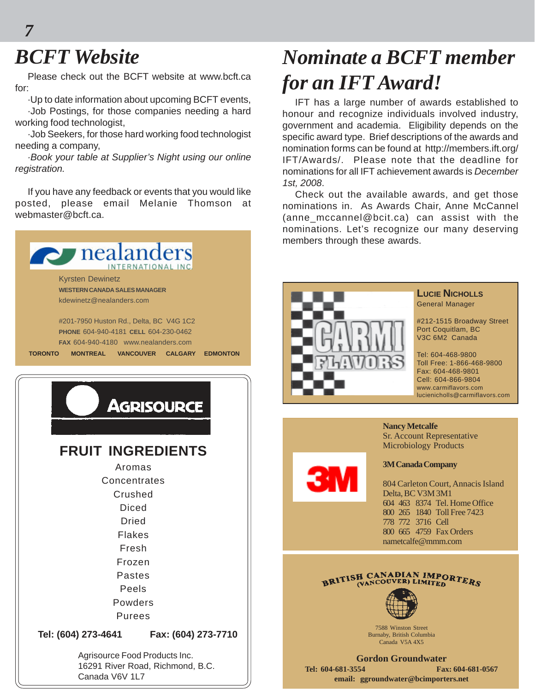# *BCFT Website*

*7*

Please check out the BCFT website at www.bcft.ca for:

·Up to date information about upcoming BCFT events, ·Job Postings, for those companies needing a hard working food technologist,

·Job Seekers, for those hard working food technologist needing a company,

*·Book your table at Supplier's Night using our online registration.*

If you have any feedback or events that you would like posted, please email Melanie Thomson at webmaster@bcft.ca.



| <b>AGRISOURCE</b>                                                                   |
|-------------------------------------------------------------------------------------|
|                                                                                     |
| <b>FRUIT INGREDIENTS</b>                                                            |
| Aromas                                                                              |
| Concentrates                                                                        |
| Crushed                                                                             |
| Diced                                                                               |
| Dried                                                                               |
| Flakes                                                                              |
| Fresh                                                                               |
| Frozen                                                                              |
| <b>Pastes</b>                                                                       |
| Peels                                                                               |
| Powders                                                                             |
| Purees                                                                              |
| Tel: (604) 273-4641<br>Fax: (604) 273-7710                                          |
| Agrisource Food Products Inc.<br>16291 River Road, Richmond, B.C.<br>Canada V6V 1L7 |

## *Nominate a BCFT member for an IFT Award!*

IFT has a large number of awards established to honour and recognize individuals involved industry, government and academia. Eligibility depends on the specific award type. Brief descriptions of the awards and nomination forms can be found at http://members.ift.org/ IFT/Awards/. Please note that the deadline for nominations for all IFT achievement awards is *December 1st, 2008*.

Check out the available awards, and get those nominations in. As Awards Chair, Anne McCannel (anne mccannel@bcit.ca) can assist with the nominations. Let's recognize our many deserving members through these awards.





**Nancy Metcalfe** Sr. Account Representative Microbiology Products

#### **3M Canada Company**

804 Carleton Court, Annacis Island Delta, BC V3M 3M1 604 463 8374 Tel. Home Office 800 265 1840 Toll Free 7423 778 772 3716 Cell 800 665 4759 Fax Orders nametcalfe@mmm.com

## **BRITISH CANADIAN IMPORTERS**



7588 Winston Street Burnaby, British Columbia Canada V5A 4X5

#### **Gordon Groundwater**

**Tel: 604-681-3554 Fax: 604-681-0567 email: ggroundwater@bcimporters.net**